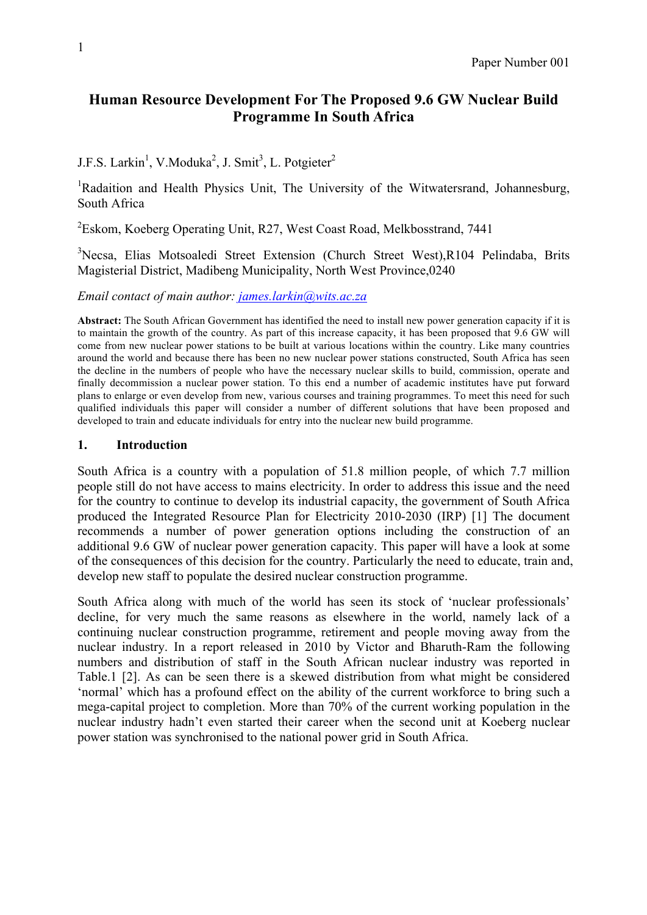# **Human Resource Development For The Proposed 9.6 GW Nuclear Build Programme In South Africa**

J.F.S. Larkin<sup>1</sup>, V.Moduka<sup>2</sup>, J. Smit<sup>3</sup>, L. Potgieter<sup>2</sup>

<sup>1</sup>Radaition and Health Physics Unit, The University of the Witwatersrand, Johannesburg, South Africa

<sup>2</sup>Eskom, Koeberg Operating Unit, R27, West Coast Road, Melkbosstrand, 7441

<sup>3</sup>Necsa, Elias Motsoaledi Street Extension (Church Street West),R104 Pelindaba, Brits Magisterial District, Madibeng Municipality, North West Province,0240

*Email contact of main author: james.larkin@wits.ac.za*

**Abstract:** The South African Government has identified the need to install new power generation capacity if it is to maintain the growth of the country. As part of this increase capacity, it has been proposed that 9.6 GW will come from new nuclear power stations to be built at various locations within the country. Like many countries around the world and because there has been no new nuclear power stations constructed, South Africa has seen the decline in the numbers of people who have the necessary nuclear skills to build, commission, operate and finally decommission a nuclear power station. To this end a number of academic institutes have put forward plans to enlarge or even develop from new, various courses and training programmes. To meet this need for such qualified individuals this paper will consider a number of different solutions that have been proposed and developed to train and educate individuals for entry into the nuclear new build programme.

## **1. Introduction**

South Africa is a country with a population of 51.8 million people, of which 7.7 million people still do not have access to mains electricity. In order to address this issue and the need for the country to continue to develop its industrial capacity, the government of South Africa produced the Integrated Resource Plan for Electricity 2010-2030 (IRP) [1] The document recommends a number of power generation options including the construction of an additional 9.6 GW of nuclear power generation capacity. This paper will have a look at some of the consequences of this decision for the country. Particularly the need to educate, train and, develop new staff to populate the desired nuclear construction programme.

South Africa along with much of the world has seen its stock of 'nuclear professionals' decline, for very much the same reasons as elsewhere in the world, namely lack of a continuing nuclear construction programme, retirement and people moving away from the nuclear industry. In a report released in 2010 by Victor and Bharuth-Ram the following numbers and distribution of staff in the South African nuclear industry was reported in Table.1 [2]. As can be seen there is a skewed distribution from what might be considered 'normal' which has a profound effect on the ability of the current workforce to bring such a mega-capital project to completion. More than 70% of the current working population in the nuclear industry hadn't even started their career when the second unit at Koeberg nuclear power station was synchronised to the national power grid in South Africa.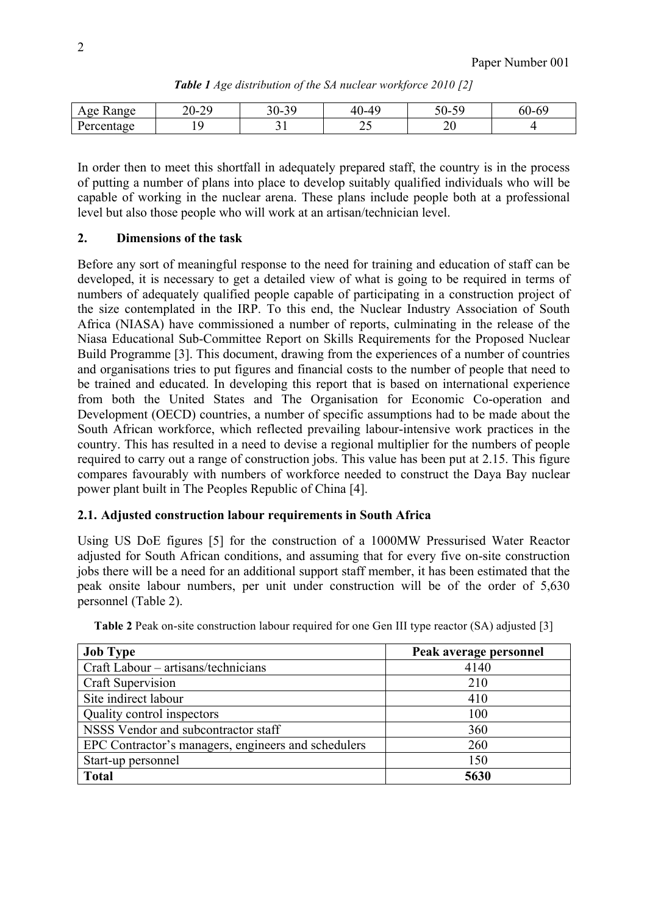| $\sigma$ $\alpha$<br>cange<br>Δ<br>. . | $\bigcap$<br>⌒⌒<br>∠∪∹ | $\sim$<br>n n<br>.<br>υv<br>- | AC<br>$\Lambda$ $\Gamma$<br>. . <u>.</u><br>7V. | $\overline{r}$ $\cap$<br>$\overline{c}$<br><br>◡◡<br>$\overline{\phantom{0}}$ | $\sim$<br>$\sim$<br>OU.<br>. |
|----------------------------------------|------------------------|-------------------------------|-------------------------------------------------|-------------------------------------------------------------------------------|------------------------------|
| ے مد<br>⊷                              |                        | ັ                             | ∸~                                              | ∠∪                                                                            |                              |

*Table 1 Age distribution of the SA nuclear workforce 2010 [2]*

In order then to meet this shortfall in adequately prepared staff, the country is in the process of putting a number of plans into place to develop suitably qualified individuals who will be capable of working in the nuclear arena. These plans include people both at a professional level but also those people who will work at an artisan/technician level.

# **2. Dimensions of the task**

Before any sort of meaningful response to the need for training and education of staff can be developed, it is necessary to get a detailed view of what is going to be required in terms of numbers of adequately qualified people capable of participating in a construction project of the size contemplated in the IRP. To this end, the Nuclear Industry Association of South Africa (NIASA) have commissioned a number of reports, culminating in the release of the Niasa Educational Sub-Committee Report on Skills Requirements for the Proposed Nuclear Build Programme [3]. This document, drawing from the experiences of a number of countries and organisations tries to put figures and financial costs to the number of people that need to be trained and educated. In developing this report that is based on international experience from both the United States and The Organisation for Economic Co-operation and Development (OECD) countries, a number of specific assumptions had to be made about the South African workforce, which reflected prevailing labour-intensive work practices in the country. This has resulted in a need to devise a regional multiplier for the numbers of people required to carry out a range of construction jobs. This value has been put at 2.15. This figure compares favourably with numbers of workforce needed to construct the Daya Bay nuclear power plant built in The Peoples Republic of China [4].

# **2.1. Adjusted construction labour requirements in South Africa**

Using US DoE figures [5] for the construction of a 1000MW Pressurised Water Reactor adjusted for South African conditions, and assuming that for every five on-site construction jobs there will be a need for an additional support staff member, it has been estimated that the peak onsite labour numbers, per unit under construction will be of the order of 5,630 personnel (Table 2).

| <b>Job Type</b>                                     | Peak average personnel |  |
|-----------------------------------------------------|------------------------|--|
| Craft Labour – artisans/technicians                 | 4140                   |  |
| Craft Supervision                                   | 210                    |  |
| Site indirect labour                                | 410                    |  |
| Quality control inspectors                          | 100                    |  |
| NSSS Vendor and subcontractor staff                 | 360                    |  |
| EPC Contractor's managers, engineers and schedulers | 260                    |  |
| Start-up personnel                                  | 150                    |  |
| <b>Total</b>                                        | 5630                   |  |

**Table 2** Peak on-site construction labour required for one Gen III type reactor (SA) adjusted [3]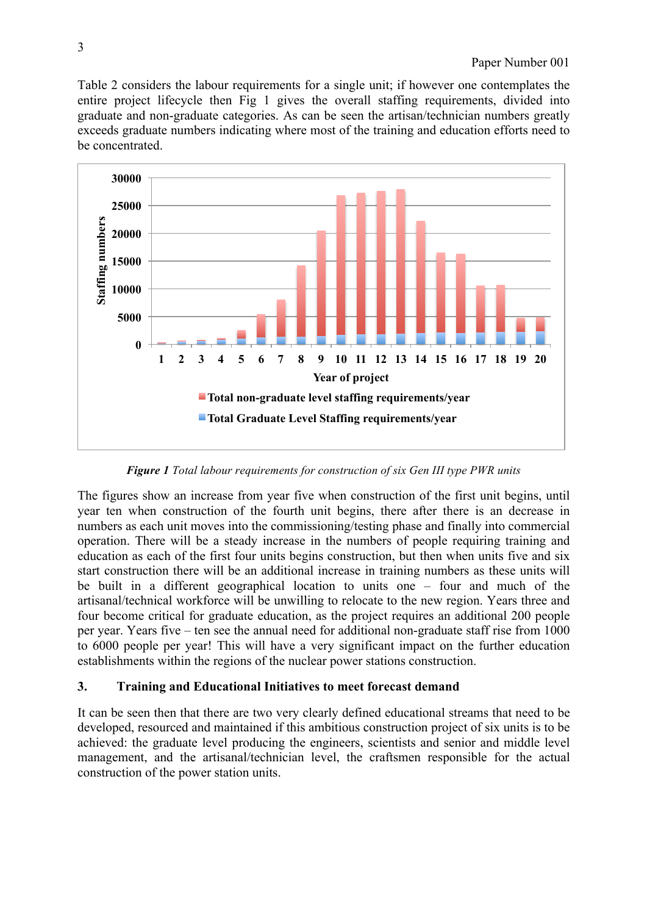Table 2 considers the labour requirements for a single unit; if however one contemplates the entire project lifecycle then Fig 1 gives the overall staffing requirements, divided into graduate and non-graduate categories. As can be seen the artisan/technician numbers greatly exceeds graduate numbers indicating where most of the training and education efforts need to be concentrated.



*Figure 1 Total labour requirements for construction of six Gen III type PWR units*

The figures show an increase from year five when construction of the first unit begins, until year ten when construction of the fourth unit begins, there after there is an decrease in numbers as each unit moves into the commissioning/testing phase and finally into commercial operation. There will be a steady increase in the numbers of people requiring training and education as each of the first four units begins construction, but then when units five and six start construction there will be an additional increase in training numbers as these units will be built in a different geographical location to units one – four and much of the artisanal/technical workforce will be unwilling to relocate to the new region. Years three and four become critical for graduate education, as the project requires an additional 200 people per year. Years five – ten see the annual need for additional non-graduate staff rise from 1000 to 6000 people per year! This will have a very significant impact on the further education establishments within the regions of the nuclear power stations construction.

# **3. Training and Educational Initiatives to meet forecast demand**

It can be seen then that there are two very clearly defined educational streams that need to be developed, resourced and maintained if this ambitious construction project of six units is to be achieved: the graduate level producing the engineers, scientists and senior and middle level management, and the artisanal/technician level, the craftsmen responsible for the actual construction of the power station units.